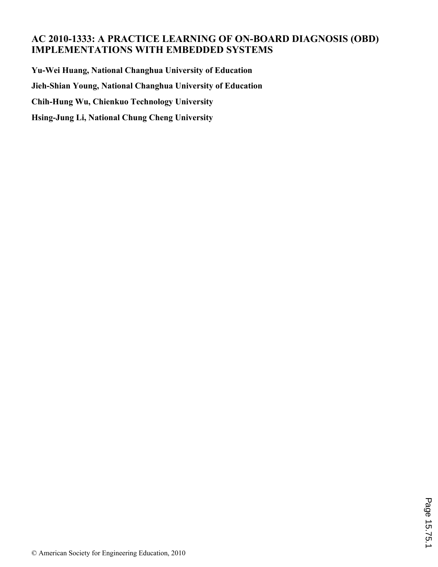# **AC 2010-1333: A PRACTICE LEARNING OF ON-BOARD DIAGNOSIS (OBD) IMPLEMENTATIONS WITH EMBEDDED SYSTEMS**

**Yu-Wei Huang, National Changhua University of Education Jieh-Shian Young, National Changhua University of Education Chih-Hung Wu, Chienkuo Technology University Hsing-Jung Li, National Chung Cheng University**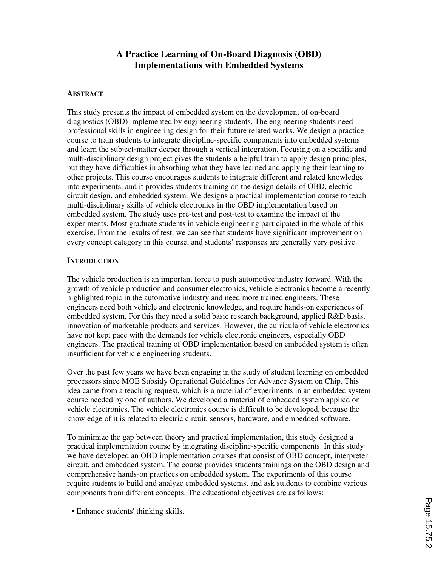## **A Practice Learning of On-Board Diagnosis (OBD) Implementations with Embedded Systems**

### **ABSTRACT**

This study presents the impact of embedded system on the development of on-board diagnostics (OBD) implemented by engineering students. The engineering students need professional skills in engineering design for their future related works. We design a practice course to train students to integrate discipline-specific components into embedded systems and learn the subject-matter deeper through a vertical integration. Focusing on a specific and multi-disciplinary design project gives the students a helpful train to apply design principles, but they have difficulties in absorbing what they have learned and applying their learning to other projects. This course encourages students to integrate different and related knowledge into experiments, and it provides students training on the design details of OBD, electric circuit design, and embedded system. We designs a practical implementation course to teach multi-disciplinary skills of vehicle electronics in the OBD implementation based on embedded system. The study uses pre-test and post-test to examine the impact of the experiments. Most graduate students in vehicle engineering participated in the whole of this exercise. From the results of test, we can see that students have significant improvement on every concept category in this course, and students' responses are generally very positive.

### **INTRODUCTION**

The vehicle production is an important force to push automotive industry forward. With the growth of vehicle production and consumer electronics, vehicle electronics become a recently highlighted topic in the automotive industry and need more trained engineers. These engineers need both vehicle and electronic knowledge, and require hands-on experiences of embedded system. For this they need a solid basic research background, applied R&D basis, innovation of marketable products and services. However, the curricula of vehicle electronics have not kept pace with the demands for vehicle electronic engineers, especially OBD engineers. The practical training of OBD implementation based on embedded system is often insufficient for vehicle engineering students.

Over the past few years we have been engaging in the study of student learning on embedded processors since MOE Subsidy Operational Guidelines for Advance System on Chip. This idea came from a teaching request, which is a material of experiments in an embedded system course needed by one of authors. We developed a material of embedded system applied on vehicle electronics. The vehicle electronics course is difficult to be developed, because the knowledge of it is related to electric circuit, sensors, hardware, and embedded software.

To minimize the gap between theory and practical implementation, this study designed a practical implementation course by integrating discipline-specific components. In this study we have developed an OBD implementation courses that consist of OBD concept, interpreter circuit, and embedded system. The course provides students trainings on the OBD design and comprehensive hands-on practices on embedded system. The experiments of this course require students to build and analyze embedded systems, and ask students to combine various components from different concepts. The educational objectives are as follows:

• Enhance students' thinking skills.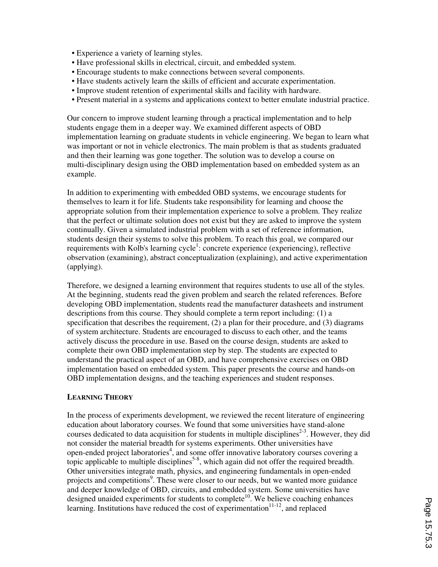- Experience a variety of learning styles.
- Have professional skills in electrical, circuit, and embedded system.
- Encourage students to make connections between several components.
- Have students actively learn the skills of efficient and accurate experimentation.
- Improve student retention of experimental skills and facility with hardware.
- Present material in a systems and applications context to better emulate industrial practice.

Our concern to improve student learning through a practical implementation and to help students engage them in a deeper way. We examined different aspects of OBD implementation learning on graduate students in vehicle engineering. We began to learn what was important or not in vehicle electronics. The main problem is that as students graduated and then their learning was gone together. The solution was to develop a course on multi-disciplinary design using the OBD implementation based on embedded system as an example.

In addition to experimenting with embedded OBD systems, we encourage students for themselves to learn it for life. Students take responsibility for learning and choose the appropriate solution from their implementation experience to solve a problem. They realize that the perfect or ultimate solution does not exist but they are asked to improve the system continually. Given a simulated industrial problem with a set of reference information, students design their systems to solve this problem. To reach this goal, we compared our requirements with Kolb's learning cycle<sup>1</sup>: concrete experience (experiencing), reflective observation (examining), abstract conceptualization (explaining), and active experimentation (applying).

Therefore, we designed a learning environment that requires students to use all of the styles. At the beginning, students read the given problem and search the related references. Before developing OBD implementation, students read the manufacturer datasheets and instrument descriptions from this course. They should complete a term report including: (1) a specification that describes the requirement, (2) a plan for their procedure, and (3) diagrams of system architecture. Students are encouraged to discuss to each other, and the teams actively discuss the procedure in use. Based on the course design, students are asked to complete their own OBD implementation step by step. The students are expected to understand the practical aspect of an OBD, and have comprehensive exercises on OBD implementation based on embedded system. This paper presents the course and hands-on OBD implementation designs, and the teaching experiences and student responses.

### **LEARNING THEORY**

In the process of experiments development, we reviewed the recent literature of engineering education about laboratory courses. We found that some universities have stand-alone courses dedicated to data acquisition for students in multiple disciplines<sup>2-3</sup>. However, they did not consider the material breadth for systems experiments. Other universities have open-ended project laboratories<sup>4</sup>, and some offer innovative laboratory courses covering a topic applicable to multiple disciplines<sup>5-8</sup>, which again did not offer the required breadth. Other universities integrate math, physics, and engineering fundamentals in open-ended projects and competitions<sup>9</sup>. These were closer to our needs, but we wanted more guidance and deeper knowledge of OBD, circuits, and embedded system. Some universities have designed unaided experiments for students to complete<sup>10</sup>. We believe coaching enhances learning. Institutions have reduced the cost of experimentation<sup>11-12</sup>, and replaced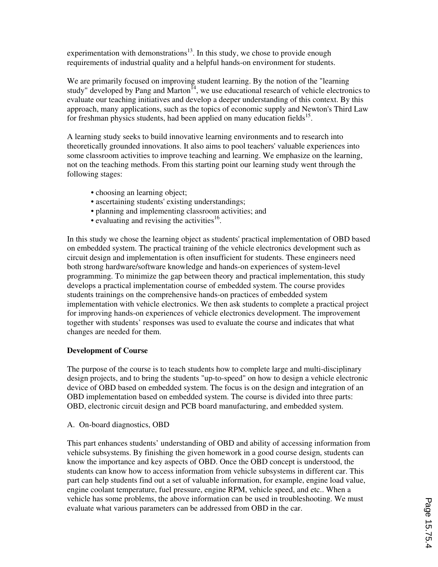experimentation with demonstrations $13$ . In this study, we chose to provide enough requirements of industrial quality and a helpful hands-on environment for students.

We are primarily focused on improving student learning. By the notion of the "learning study" developed by Pang and Marton<sup> $14$ </sup>, we use educational research of vehicle electronics to evaluate our teaching initiatives and develop a deeper understanding of this context. By this approach, many applications, such as the topics of economic supply and Newton's Third Law for freshman physics students, had been applied on many education fields<sup>15</sup>.

A learning study seeks to build innovative learning environments and to research into theoretically grounded innovations. It also aims to pool teachers' valuable experiences into some classroom activities to improve teaching and learning. We emphasize on the learning, not on the teaching methods. From this starting point our learning study went through the following stages:

- choosing an learning object;
- ascertaining students' existing understandings;
- planning and implementing classroom activities; and
- $\bullet$  evaluating and revising the activities<sup>16</sup>.

In this study we chose the learning object as students' practical implementation of OBD based on embedded system. The practical training of the vehicle electronics development such as circuit design and implementation is often insufficient for students. These engineers need both strong hardware/software knowledge and hands-on experiences of system-level programming. To minimize the gap between theory and practical implementation, this study develops a practical implementation course of embedded system. The course provides students trainings on the comprehensive hands-on practices of embedded system implementation with vehicle electronics. We then ask students to complete a practical project for improving hands-on experiences of vehicle electronics development. The improvement together with students' responses was used to evaluate the course and indicates that what changes are needed for them.

### **Development of Course**

The purpose of the course is to teach students how to complete large and multi-disciplinary design projects, and to bring the students "up-to-speed" on how to design a vehicle electronic device of OBD based on embedded system. The focus is on the design and integration of an OBD implementation based on embedded system. The course is divided into three parts: OBD, electronic circuit design and PCB board manufacturing, and embedded system.

A. On-board diagnostics, OBD

This part enhances students' understanding of OBD and ability of accessing information from vehicle subsystems. By finishing the given homework in a good course design, students can know the importance and key aspects of OBD. Once the OBD concept is understood, the students can know how to access information from vehicle subsystems in different car. This part can help students find out a set of valuable information, for example, engine load value, engine coolant temperature, fuel pressure, engine RPM, vehicle speed, and etc.. When a vehicle has some problems, the above information can be used in troubleshooting. We must evaluate what various parameters can be addressed from OBD in the car.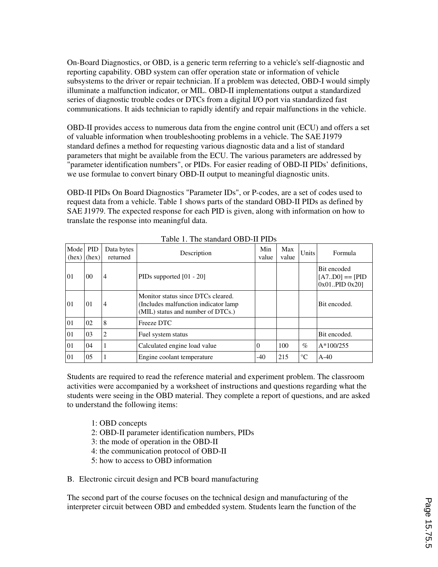On-Board Diagnostics, or OBD, is a generic term referring to a vehicle's self-diagnostic and reporting capability. OBD system can offer operation state or information of vehicle subsystems to the driver or repair technician. If a problem was detected, OBD-I would simply illuminate a malfunction indicator, or MIL. OBD-II implementations output a standardized series of diagnostic trouble codes or DTCs from a digital I/O port via standardized fast communications. It aids technician to rapidly identify and repair malfunctions in the vehicle.

OBD-II provides access to numerous data from the engine control unit (ECU) and offers a set of valuable information when troubleshooting problems in a vehicle. The SAE J1979 standard defines a method for requesting various diagnostic data and a list of standard parameters that might be available from the ECU. The various parameters are addressed by "parameter identification numbers", or PIDs. For easier reading of OBD-II PIDs' definitions, we use formulae to convert binary OBD-II output to meaningful diagnostic units.

OBD-II PIDs On Board Diagnostics "Parameter IDs", or P-codes, are a set of codes used to request data from a vehicle. Table 1 shows parts of the standard OBD-II PIDs as defined by SAE J1979. The expected response for each PID is given, along with information on how to translate the response into meaningful data.

| Mode<br>(hex) | <b>PID</b><br>(hex) | Data bytes<br>returned | Description                                                                                                      | Min<br>value | Max<br>value | <b>Units</b>    | Formula                                              |
|---------------|---------------------|------------------------|------------------------------------------------------------------------------------------------------------------|--------------|--------------|-----------------|------------------------------------------------------|
| 01            | 00 <sup>0</sup>     | $\overline{4}$         | PIDs supported $[01 - 20]$                                                                                       |              |              |                 | Bit encoded<br>$[A7D0] == [PID]$<br>$0x01PID 0x20$ ] |
| 01            | 01                  | 4                      | Monitor status since DTCs cleared.<br>(Includes malfunction indicator lamp)<br>(MIL) status and number of DTCs.) |              |              |                 | Bit encoded.                                         |
| 01            | 02                  | 8                      | Freeze DTC                                                                                                       |              |              |                 |                                                      |
| 01            | 03                  | $\overline{2}$         | Fuel system status                                                                                               |              |              |                 | Bit encoded.                                         |
| 01            | 04                  |                        | Calculated engine load value                                                                                     | 0            | 100          | $\%$            | $A*100/255$                                          |
| 01            | 05                  |                        | Engine coolant temperature                                                                                       | -40          | 215          | $\rm ^{\circ}C$ | $A-40$                                               |

Table 1. The standard OBD-II PIDs

Students are required to read the reference material and experiment problem. The classroom activities were accompanied by a worksheet of instructions and questions regarding what the students were seeing in the OBD material. They complete a report of questions, and are asked to understand the following items:

1: OBD concepts

- 2: OBD-II parameter identification numbers, PIDs
- 3: the mode of operation in the OBD-II
- 4: the communication protocol of OBD-II
- 5: how to access to OBD information

B. Electronic circuit design and PCB board manufacturing

The second part of the course focuses on the technical design and manufacturing of the interpreter circuit between OBD and embedded system. Students learn the function of the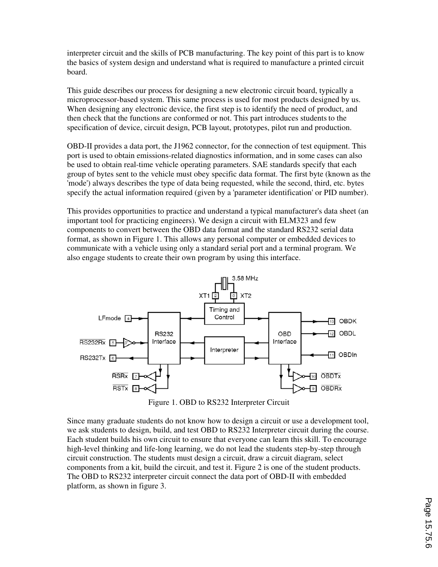interpreter circuit and the skills of PCB manufacturing. The key point of this part is to know the basics of system design and understand what is required to manufacture a printed circuit board.

This guide describes our process for designing a new electronic circuit board, typically a microprocessor-based system. This same process is used for most products designed by us. When designing any electronic device, the first step is to identify the need of product, and then check that the functions are conformed or not. This part introduces students to the specification of device, circuit design, PCB layout, prototypes, pilot run and production.

OBD-II provides a data port, the J1962 connector, for the connection of test equipment. This port is used to obtain emissions-related diagnostics information, and in some cases can also be used to obtain real-time vehicle operating parameters. SAE standards specify that each group of bytes sent to the vehicle must obey specific data format. The first byte (known as the 'mode') always describes the type of data being requested, while the second, third, etc. bytes specify the actual information required (given by a 'parameter identification' or PID number).

This provides opportunities to practice and understand a typical manufacturer's data sheet (an important tool for practicing engineers). We design a circuit with ELM323 and few components to convert between the OBD data format and the standard RS232 serial data format, as shown in Figure 1. This allows any personal computer or embedded devices to communicate with a vehicle using only a standard serial port and a terminal program. We also engage students to create their own program by using this interface.



Figure 1. OBD to RS232 Interpreter Circuit

Since many graduate students do not know how to design a circuit or use a development tool, we ask students to design, build, and test OBD to RS232 Interpreter circuit during the course. Each student builds his own circuit to ensure that everyone can learn this skill. To encourage high-level thinking and life-long learning, we do not lead the students step-by-step through circuit construction. The students must design a circuit, draw a circuit diagram, select components from a kit, build the circuit, and test it. Figure 2 is one of the student products. The OBD to RS232 interpreter circuit connect the data port of OBD-II with embedded platform, as shown in figure 3.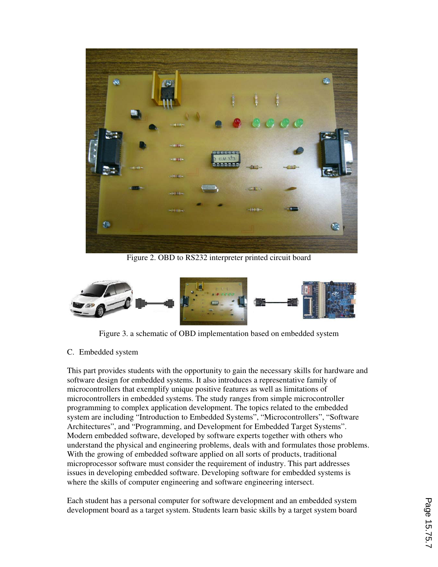

Figure 2. OBD to RS232 interpreter printed circuit board



Figure 3. a schematic of OBD implementation based on embedded system

### C. Embedded system

This part provides students with the opportunity to gain the necessary skills for hardware and software design for embedded systems. It also introduces a representative family of microcontrollers that exemplify unique positive features as well as limitations of microcontrollers in embedded systems. The study ranges from simple microcontroller programming to complex application development. The topics related to the embedded system are including "Introduction to Embedded Systems", "Microcontrollers", "Software Architectures", and "Programming, and Development for Embedded Target Systems". Modern embedded software, developed by software experts together with others who understand the physical and engineering problems, deals with and formulates those problems. With the growing of embedded software applied on all sorts of products, traditional microprocessor software must consider the requirement of industry. This part addresses issues in developing embedded software. Developing software for embedded systems is where the skills of computer engineering and software engineering intersect.

Each student has a personal computer for software development and an embedded system development board as a target system. Students learn basic skills by a target system board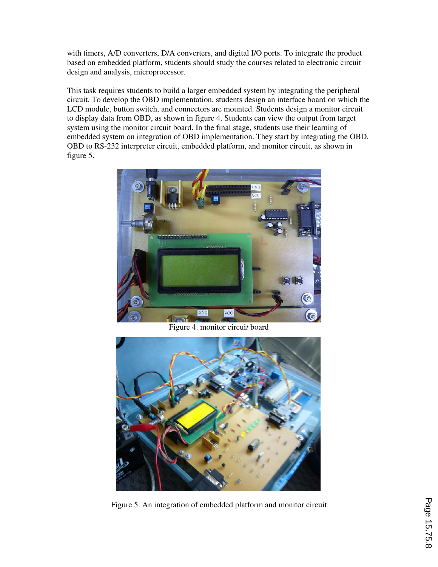with timers, A/D converters, D/A converters, and digital I/O ports. To integrate the product based on embedded platform, students should study the courses related to electronic circuit design and analysis, microprocessor.

This task requires students to build a larger embedded system by integrating the peripheral circuit. To develop the OBD implementation, students design an interface board on which the LCD module, button switch, and connectors are mounted. Students design a monitor circuit to display data from OBD, as shown in figure 4. Students can view the output from target system using the monitor circuit board. In the final stage, students use their learning of embedded system on integration of OBD implementation. They start by integrating the OBD, OBD to RS-232 interpreter circuit, embedded platform, and monitor circuit, as shown in figure 5.



Figure 4. monitor circui*t* board



Figure 5. An integration of embedded platform and monitor circuit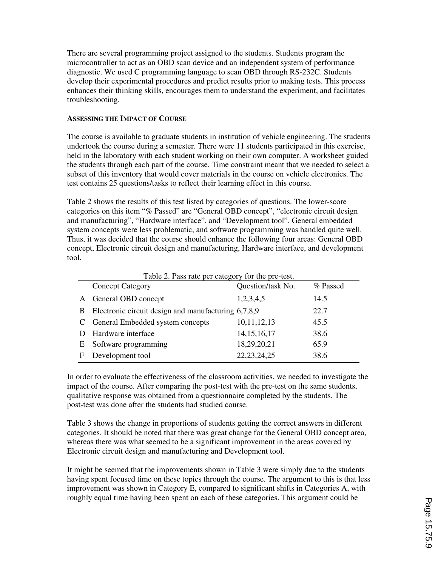There are several programming project assigned to the students. Students program the microcontroller to act as an OBD scan device and an independent system of performance diagnostic. We used C programming language to scan OBD through RS-232C. Students develop their experimental procedures and predict results prior to making tests. This process enhances their thinking skills, encourages them to understand the experiment, and facilitates troubleshooting.

### **ASSESSING THE IMPACT OF COURSE**

The course is available to graduate students in institution of vehicle engineering. The students undertook the course during a semester. There were 11 students participated in this exercise, held in the laboratory with each student working on their own computer. A worksheet guided the students through each part of the course. Time constraint meant that we needed to select a subset of this inventory that would cover materials in the course on vehicle electronics. The test contains 25 questions/tasks to reflect their learning effect in this course.

Table 2 shows the results of this test listed by categories of questions. The lower-score categories on this item "% Passed" are "General OBD concept", "electronic circuit design and manufacturing", "Hardware interface", and "Development tool". General embedded system concepts were less problematic, and software programming was handled quite well. Thus, it was decided that the course should enhance the following four areas: General OBD concept, Electronic circuit design and manufacturing, Hardware interface, and development tool.

|   | <b>Concept Category</b>                             | Question/task No. | % Passed |
|---|-----------------------------------------------------|-------------------|----------|
|   | A General OBD concept                               | 1,2,3,4,5         | 14.5     |
| B | Electronic circuit design and manufacturing 6,7,8,9 |                   | 22.7     |
|   | General Embedded system concepts                    | 10,11,12,13       | 45.5     |
|   | Hardware interface                                  | 14, 15, 16, 17    | 38.6     |
| Е | Software programming                                | 18,29,20,21       | 65.9     |
| F | Development tool                                    | 22, 23, 24, 25    | 38.6     |

Table 2. Pass rate per category for the pre-test.

In order to evaluate the effectiveness of the classroom activities, we needed to investigate the impact of the course. After comparing the post-test with the pre-test on the same students, qualitative response was obtained from a questionnaire completed by the students. The post-test was done after the students had studied course.

Table 3 shows the change in proportions of students getting the correct answers in different categories. It should be noted that there was great change for the General OBD concept area, whereas there was what seemed to be a significant improvement in the areas covered by Electronic circuit design and manufacturing and Development tool.

It might be seemed that the improvements shown in Table 3 were simply due to the students having spent focused time on these topics through the course. The argument to this is that less improvement was shown in Category E, compared to significant shifts in Categories A, with roughly equal time having been spent on each of these categories. This argument could be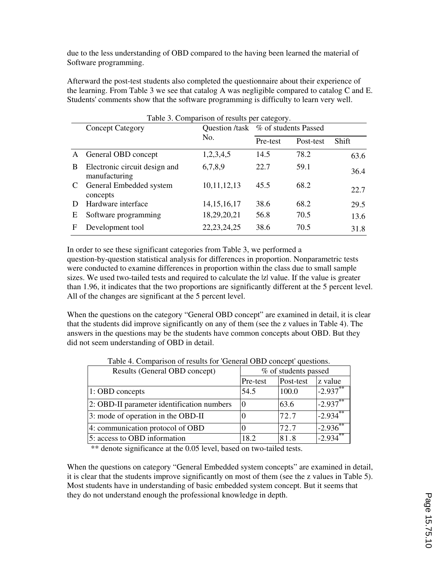due to the less understanding of OBD compared to the having been learned the material of Software programming.

Afterward the post-test students also completed the questionnaire about their experience of the learning. From Table 3 we see that catalog A was negligible compared to catalog C and E. Students' comments show that the software programming is difficulty to learn very well.

| Table 3. Comparison of results per category. |                                                |                                     |          |           |       |  |
|----------------------------------------------|------------------------------------------------|-------------------------------------|----------|-----------|-------|--|
|                                              | <b>Concept Category</b>                        | Question /task % of students Passed |          |           |       |  |
|                                              |                                                | No.                                 | Pre-test | Post-test | Shift |  |
| A                                            | General OBD concept                            | 1,2,3,4,5                           | 14.5     | 78.2      | 63.6  |  |
| B                                            | Electronic circuit design and<br>manufacturing | 6,7,8,9                             | 22.7     | 59.1      | 36.4  |  |
| C                                            | General Embedded system<br>concepts            | 10, 11, 12, 13                      | 45.5     | 68.2      | 22.7  |  |
|                                              | Hardware interface                             | 14, 15, 16, 17                      | 38.6     | 68.2      | 29.5  |  |
| Ε                                            | Software programming                           | 18,29,20,21                         | 56.8     | 70.5      | 13.6  |  |
| F                                            | Development tool                               | 22, 23, 24, 25                      | 38.6     | 70.5      | 31.8  |  |

In order to see these significant categories from Table 3, we performed a question-by-question statistical analysis for differences in proportion. Nonparametric tests were conducted to examine differences in proportion within the class due to small sample sizes. We used two-tailed tests and required to calculate the |z| value. If the value is greater than 1.96, it indicates that the two proportions are significantly different at the 5 percent level. All of the changes are significant at the 5 percent level.

When the questions on the category "General OBD concept" are examined in detail, it is clear that the students did improve significantly on any of them (see the z values in Table 4). The answers in the questions may be the students have common concepts about OBD. But they did not seem understanding of OBD in detail.

| Results (General OBD concept)              | % of students passed |           |          |
|--------------------------------------------|----------------------|-----------|----------|
|                                            | Pre-test             | Post-test | z value  |
| 1: OBD concepts                            | 54.5                 | 100.0     | $-2.937$ |
| 2: OBD-II parameter identification numbers |                      | 63.6      | $-2.937$ |
| 3: mode of operation in the OBD-II         |                      | 72.7      | $-2.934$ |
| 4: communication protocol of OBD           |                      | 72.7      | $-2.936$ |
| 5: access to OBD information               | 18.2                 | 81.8      | $-2.934$ |

Table 4. Comparison of results for 'General OBD concept' questions.

\*\* denote significance at the 0.05 level, based on two-tailed tests.

When the questions on category "General Embedded system concepts" are examined in detail, it is clear that the students improve significantly on most of them (see the z values in Table 5). Most students have in understanding of basic embedded system concept. But it seems that they do not understand enough the professional knowledge in depth.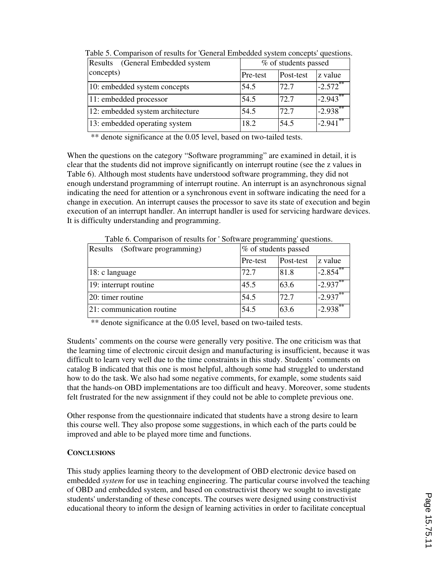| (General Embedded system<br>Results |          | % of students passed |                       |  |  |
|-------------------------------------|----------|----------------------|-----------------------|--|--|
| concepts)                           | Pre-test | Post-test            | z value               |  |  |
| 10: embedded system concepts        | 54.5     | 72.7                 | $-2.572$ **           |  |  |
| 11: embedded processor              | 54.5     | 72.7                 | $-2.943$ <sup>*</sup> |  |  |
| 12: embedded system architecture    | 54.5     | 72.7                 | $-2.938$ <sup>*</sup> |  |  |
| 13: embedded operating system       | 18.2     | 54.5                 | $-2.941$              |  |  |

Table 5. Comparison of results for 'General Embedded system concepts' questions.

\*\* denote significance at the 0.05 level, based on two-tailed tests.

When the questions on the category "Software programming" are examined in detail, it is clear that the students did not improve significantly on interrupt routine (see the z values in Table 6). Although most students have understood software programming, they did not enough understand programming of interrupt routine. An interrupt is an asynchronous signal indicating the need for attention or a synchronous event in software indicating the need for a change in execution. An interrupt causes the processor to save its state of execution and begin execution of an interrupt handler. An interrupt handler is used for servicing hardware devices. It is difficulty understanding and programming.

| (Software programming)<br>Results | % of students passed |           |             |
|-----------------------------------|----------------------|-----------|-------------|
|                                   | Pre-test             | Post-test | z value     |
| 18: c language                    | 72.7                 | 81.8      | $-2.854$ ** |
| 19: interrupt routine             | 45.5                 | 63.6      | $-2.937***$ |
| 20: timer routine                 | 54.5                 | 72.7      | $-2.937***$ |
| 21: communication routine         | 54.5                 | 63.6      | $-2.938$ ** |

Table 6. Comparison of results for ' Software programming' questions.

\*\* denote significance at the 0.05 level, based on two-tailed tests.

Students' comments on the course were generally very positive. The one criticism was that the learning time of electronic circuit design and manufacturing is insufficient, because it was difficult to learn very well due to the time constraints in this study. Students' comments on catalog B indicated that this one is most helpful, although some had struggled to understand how to do the task. We also had some negative comments, for example, some students said that the hands-on OBD implementations are too difficult and heavy. Moreover, some students felt frustrated for the new assignment if they could not be able to complete previous one.

Other response from the questionnaire indicated that students have a strong desire to learn this course well. They also propose some suggestions, in which each of the parts could be improved and able to be played more time and functions.

### **CONCLUSIONS**

This study applies learning theory to the development of OBD electronic device based on embedded *system* for use in teaching engineering. The particular course involved the teaching of OBD and embedded system, and based on constructivist theory we sought to investigate students' understanding of these concepts. The courses were designed using constructivist educational theory to inform the design of learning activities in order to facilitate conceptual